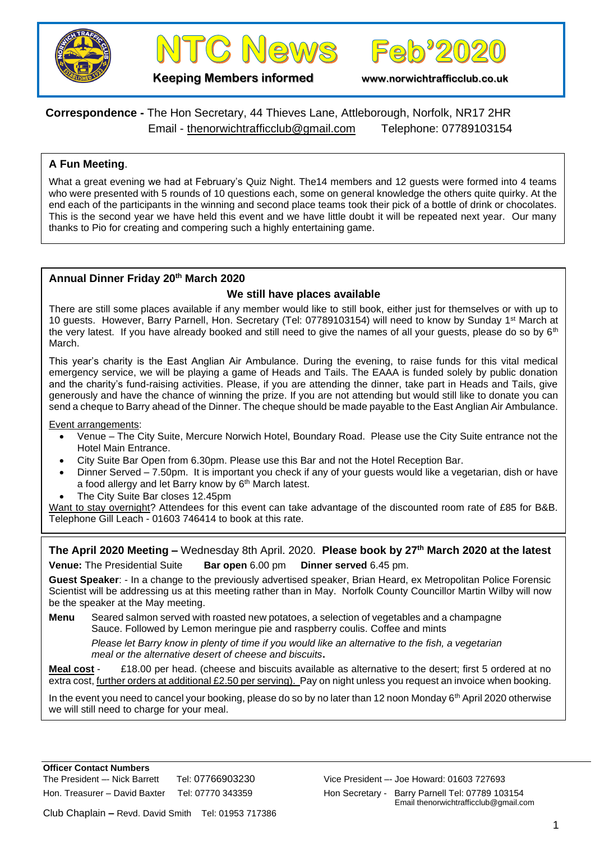





**Keeping Members informed www.norwichtrafficclub.co.uk**

# **Correspondence -** The Hon Secretary, 44 Thieves Lane, Attleborough, Norfolk, NR17 2HR Email - [thenorwichtrafficclub@gmail.com](mailto:thenorwichtrafficclub@gmail.com) Telephone: 07789103154

## **A Fun Meeting**.

What a great evening we had at February's Quiz Night. The 14 members and 12 quests were formed into 4 teams who were presented with 5 rounds of 10 questions each, some on general knowledge the others quite quirky. At the end each of the participants in the winning and second place teams took their pick of a bottle of drink or chocolates. This is the second year we have held this event and we have little doubt it will be repeated next year. Our many thanks to Pio for creating and compering such a highly entertaining game.

## **Annual Dinner Friday 20th March 2020**

## **We still have places available**

There are still some places available if any member would like to still book, either just for themselves or with up to 10 guests. However, Barry Parnell, Hon. Secretary (Tel: 07789103154) will need to know by Sunday 1st March at the very latest. If you have already booked and still need to give the names of all your guests, please do so by  $6<sup>th</sup>$ March.

This year's charity is the East Anglian Air Ambulance. During the evening, to raise funds for this vital medical emergency service, we will be playing a game of Heads and Tails. The EAAA is funded solely by public donation and the charity's fund-raising activities. Please, if you are attending the dinner, take part in Heads and Tails, give generously and have the chance of winning the prize. If you are not attending but would still like to donate you can send a cheque to Barry ahead of the Dinner. The cheque should be made payable to the East Anglian Air Ambulance.

Event arrangements:

- Venue The City Suite, Mercure Norwich Hotel, Boundary Road. Please use the City Suite entrance not the Hotel Main Entrance.
- City Suite Bar Open from 6.30pm. Please use this Bar and not the Hotel Reception Bar.
- Dinner Served 7.50pm. It is important you check if any of your guests would like a vegetarian, dish or have a food allergy and let Barry know by 6<sup>th</sup> March latest.
- The City Suite Bar closes 12.45pm

Want to stay overnight? Attendees for this event can take advantage of the discounted room rate of £85 for B&B. Telephone Gill Leach - 01603 746414 to book at this rate.

**The April 2020 Meeting –** Wednesday 8th April. 2020. **Please book by 27th March 2020 at the latest Venue:** The Presidential Suite **Bar open** 6.00 pm **Dinner served** 6.45 pm.

**Guest Speaker**: - In a change to the previously advertised speaker, Brian Heard, ex Metropolitan Police Forensic Scientist will be addressing us at this meeting rather than in May. Norfolk County Councillor Martin Wilby will now be the speaker at the May meeting.

**Menu** Seared salmon served with roasted new potatoes, a selection of vegetables and a champagne Sauce. Followed by Lemon meringue pie and raspberry coulis. Coffee and mints

*Please let Barry know in plenty of time if you would like an alternative to the fish, a vegetarian meal or the alternative desert of cheese and biscuits***.**

**Meal cost** - £18.00 per head. (cheese and biscuits available as alternative to the desert; first 5 ordered at no extra cost, further orders at additional £2.50 per serving). Pay on night unless you request an invoice when booking.

In the event you need to cancel your booking, please do so by no later than 12 noon Monday  $6<sup>th</sup>$  April 2020 otherwise we will still need to charge for your meal.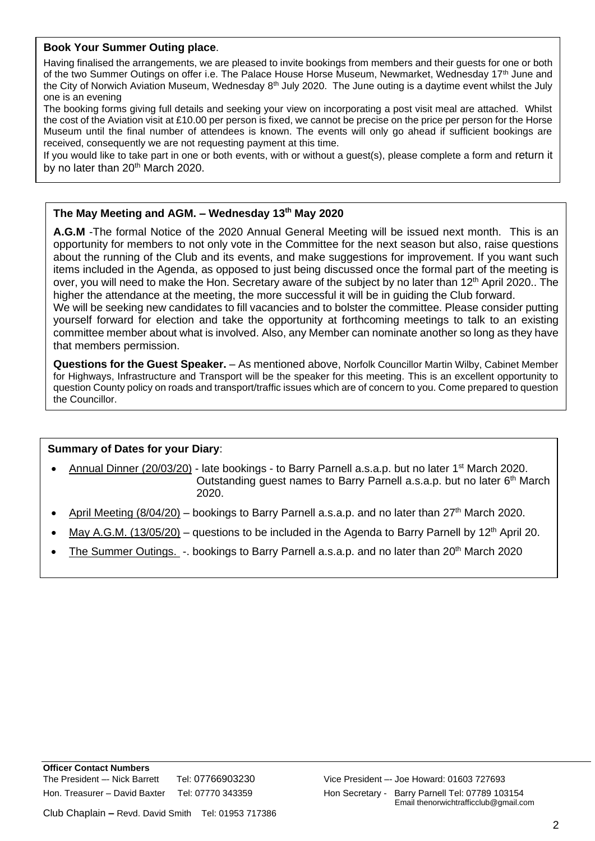#### **Book Your Summer Outing place**.

Having finalised the arrangements, we are pleased to invite bookings from members and their guests for one or both of the two Summer Outings on offer i.e. The Palace House Horse Museum, Newmarket, Wednesday 17th June and the City of Norwich Aviation Museum, Wednesday 8<sup>th</sup> July 2020. The June outing is a daytime event whilst the July one is an evening

The booking forms giving full details and seeking your view on incorporating a post visit meal are attached. Whilst the cost of the Aviation visit at £10.00 per person is fixed, we cannot be precise on the price per person for the Horse Museum until the final number of attendees is known. The events will only go ahead if sufficient bookings are received, consequently we are not requesting payment at this time.

If you would like to take part in one or both events, with or without a guest(s), please complete a form and return it by no later than  $20<sup>th</sup>$  March 2020.

#### **The May Meeting and AGM. – Wednesday 13th May 2020**

**A.G.M** -The formal Notice of the 2020 Annual General Meeting will be issued next month. This is an opportunity for members to not only vote in the Committee for the next season but also, raise questions about the running of the Club and its events, and make suggestions for improvement. If you want such items included in the Agenda, as opposed to just being discussed once the formal part of the meeting is over, you will need to make the Hon. Secretary aware of the subject by no later than  $12<sup>th</sup>$  April 2020.. The higher the attendance at the meeting, the more successful it will be in guiding the Club forward. We will be seeking new candidates to fill vacancies and to bolster the committee. Please consider putting yourself forward for election and take the opportunity at forthcoming meetings to talk to an existing committee member about what is involved. Also, any Member can nominate another so long as they have that members permission.

**Questions for the Guest Speaker.** – As mentioned above, Norfolk Councillor Martin Wilby, Cabinet Member for Highways, Infrastructure and Transport will be the speaker for this meeting. This is an excellent opportunity to question County policy on roads and transport/traffic issues which are of concern to you. Come prepared to question the Councillor.

## **Summary of Dates for your Diary**:

- Annual Dinner (20/03/20) late bookings to Barry Parnell a.s.a.p. but no later 1st March 2020. Outstanding guest names to Barry Parnell a.s.a.p. but no later 6<sup>th</sup> March 2020.
- April Meeting  $(8/04/20)$  bookings to Barry Parnell a.s.a.p. and no later than  $27<sup>th</sup>$  March 2020.
- May A.G.M. (13/05/20) questions to be included in the Agenda to Barry Parnell by 12<sup>th</sup> April 20.
- The Summer Outings. -. bookings to Barry Parnell a.s.a.p. and no later than 20<sup>th</sup> March 2020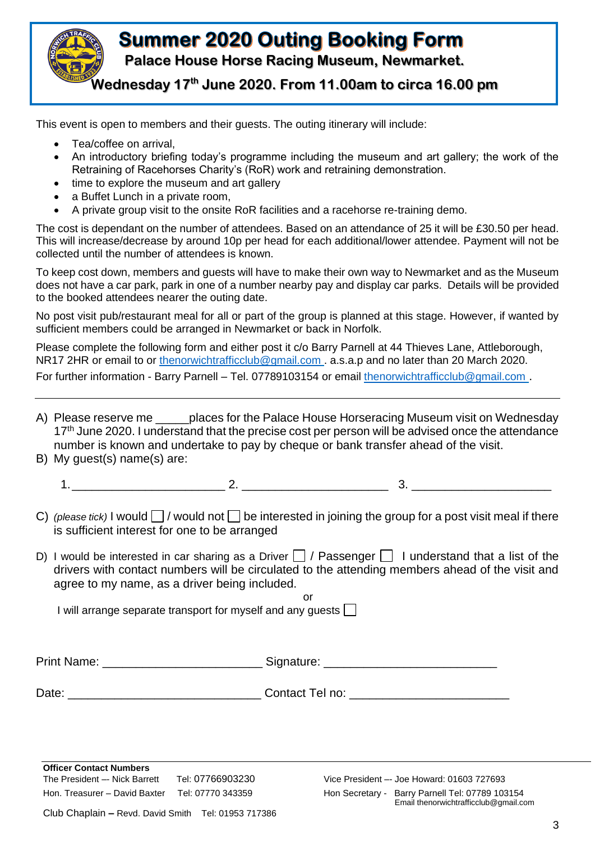

This event is open to members and their guests. The outing itinerary will include:

- Tea/coffee on arrival.
- An introductory briefing today's programme including the museum and art gallery; the work of the Retraining of Racehorses Charity's (RoR) work and retraining demonstration.
- time to explore the museum and art gallery
- a Buffet Lunch in a private room.
- A private group visit to the onsite RoR facilities and a racehorse re-training demo.

The cost is dependant on the number of attendees. Based on an attendance of 25 it will be £30.50 per head. This will increase/decrease by around 10p per head for each additional/lower attendee. Payment will not be collected until the number of attendees is known.

To keep cost down, members and guests will have to make their own way to Newmarket and as the Museum does not have a car park, park in one of a number nearby pay and display car parks. Details will be provided to the booked attendees nearer the outing date.

No post visit pub/restaurant meal for all or part of the group is planned at this stage. However, if wanted by sufficient members could be arranged in Newmarket or back in Norfolk.

Please complete the following form and either post it c/o Barry Parnell at 44 Thieves Lane, Attleborough, NR17 2HR or email to or [thenorwichtrafficclub@gmail.com](mailto:thenorwichtrafficclub@gmail.com) . a.s.a.p and no later than 20 March 2020.

For further information - Barry Parnell – Tel. 07789103154 or email [thenorwichtrafficclub@gmail.com](mailto:thenorwichtrafficclub@gmail.com) .

- A) Please reserve me \_\_\_\_\_places for the Palace House Horseracing Museum visit on Wednesday 17<sup>th</sup> June 2020. I understand that the precise cost per person will be advised once the attendance number is known and undertake to pay by cheque or bank transfer ahead of the visit. B) My guest(s) name(s) are:
- - 1.\_\_\_\_\_\_\_\_\_\_\_\_\_\_\_\_\_\_\_\_\_\_\_ 2. \_\_\_\_\_\_\_\_\_\_\_\_\_\_\_\_\_\_\_\_\_\_ 3. \_\_\_\_\_\_\_\_\_\_\_\_\_\_\_\_\_\_\_\_\_
- C) *(please tick)* I would  $\Box$  / would not  $\Box$  be interested in joining the group for a post visit meal if there is sufficient interest for one to be arranged
- D) I would be interested in car sharing as a Driver  $\Box$  / Passenger  $\Box$  I understand that a list of the drivers with contact numbers will be circulated to the attending members ahead of the visit and agree to my name, as a driver being included.

or

I will arrange separate transport for myself and any quests  $\Box$ 

Print Name: etc. and the state Signature:  $\Box$  Signature:  $\Box$ 

Date: \_\_\_\_\_\_\_\_\_\_\_\_\_\_\_\_\_\_\_\_\_\_\_\_\_\_\_\_\_ Contact Tel no: \_\_\_\_\_\_\_\_\_\_\_\_\_\_\_\_\_\_\_\_\_\_\_\_

**Officer Contact Numbers** The President –- Nick Barrett Tel: 07766903230 Vice President –- Joe Howard: 01603 727693 Hon. Treasurer – David Baxter Tel: 07770 343359 Hon Secretary - Barry Parnell Tel: 07789 103154

Email thenorwichtrafficclub@gmail.com